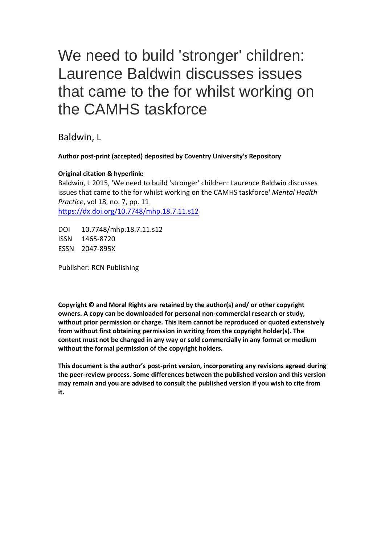## We need to build 'stronger' children: Laurence Baldwin discusses issues that came to the for whilst working on the CAMHS taskforce

Baldwin, L

## **Author post-print (accepted) deposited by Coventry University's Repository**

## **Original citation & hyperlink:**

Baldwin, L 2015, 'We need to build 'stronger' children: Laurence Baldwin discusses issues that came to the for whilst working on the CAMHS taskforce' *Mental Health Practice*, vol 18, no. 7, pp. 11 <https://dx.doi.org/10.7748/mhp.18.7.11.s12>

DOI 10.7748/mhp.18.7.11.s12 ISSN 1465-8720 ESSN 2047-895X

Publisher: RCN Publishing

**Copyright © and Moral Rights are retained by the author(s) and/ or other copyright owners. A copy can be downloaded for personal non-commercial research or study, without prior permission or charge. This item cannot be reproduced or quoted extensively from without first obtaining permission in writing from the copyright holder(s). The content must not be changed in any way or sold commercially in any format or medium without the formal permission of the copyright holders.** 

**This document is the author's post-print version, incorporating any revisions agreed during the peer-review process. Some differences between the published version and this version may remain and you are advised to consult the published version if you wish to cite from it.**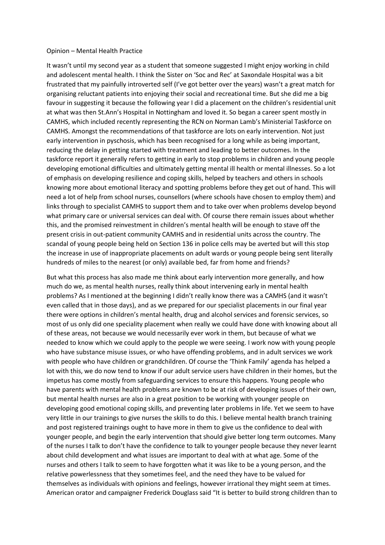## Opinion – Mental Health Practice

It wasn't until my second year as a student that someone suggested I might enjoy working in child and adolescent mental health. I think the Sister on 'Soc and Rec' at Saxondale Hospital was a bit frustrated that my painfully introverted self (I've got better over the years) wasn't a great match for organising reluctant patients into enjoying their social and recreational time. But she did me a big favour in suggesting it because the following year I did a placement on the children's residential unit at what was then St.Ann's Hospital in Nottingham and loved it. So began a career spent mostly in CAMHS, which included recently representing the RCN on Norman Lamb's Ministerial Taskforce on CAMHS. Amongst the recommendations of that taskforce are lots on early intervention. Not just early intervention in pyschosis, which has been recognised for a long while as being important, reducing the delay in getting started with treatment and leading to better outcomes. In the taskforce report it generally refers to getting in early to stop problems in children and young people developing emotional difficulties and ultimately getting mental ill health or mental illnesses. So a lot of emphasis on developing resilience and coping skills, helped by teachers and others in schools knowing more about emotional literacy and spotting problems before they get out of hand. This will need a lot of help from school nurses, counsellors (where schools have chosen to employ them) and links through to specialist CAMHS to support them and to take over when problems develop beyond what primary care or universal services can deal with. Of course there remain issues about whether this, and the promised reinvestment in children's mental health will be enough to stave off the present crisis in out-patient community CAMHS and in residential units across the country. The scandal of young people being held on Section 136 in police cells may be averted but will this stop the increase in use of inappropriate placements on adult wards or young people being sent literally hundreds of miles to the nearest (or only) available bed, far from home and friends?

But what this process has also made me think about early intervention more generally, and how much do we, as mental health nurses, really think about intervening early in mental health problems? As I mentioned at the beginning I didn't really know there was a CAMHS (and it wasn't even called that in those days), and as we prepared for our specialist placements in our final year there were options in children's mental health, drug and alcohol services and forensic services, so most of us only did one speciality placement when really we could have done with knowing about all of these areas, not because we would necessarily ever work in them, but because of what we needed to know which we could apply to the people we were seeing. I work now with young people who have substance misuse issues, or who have offending problems, and in adult services we work with people who have children or grandchildren. Of course the 'Think Family' agenda has helped a lot with this, we do now tend to know if our adult service users have children in their homes, but the impetus has come mostly from safeguarding services to ensure this happens. Young people who have parents with mental health problems are known to be at risk of developing issues of their own, but mental health nurses are also in a great position to be working with younger people on developing good emotional coping skills, and preventing later problems in life. Yet we seem to have very little in our trainings to give nurses the skills to do this. I believe mental health branch training and post registered trainings ought to have more in them to give us the confidence to deal with younger people, and begin the early intervention that should give better long term outcomes. Many of the nurses I talk to don't have the confidence to talk to younger people because they never learnt about child development and what issues are important to deal with at what age. Some of the nurses and others I talk to seem to have forgotten what it was like to be a young person, and the relative powerlessness that they sometimes feel, and the need they have to be valued for themselves as individuals with opinions and feelings, however irrational they might seem at times. American orator and campaigner Frederick Douglass said "It is better to build strong children than to